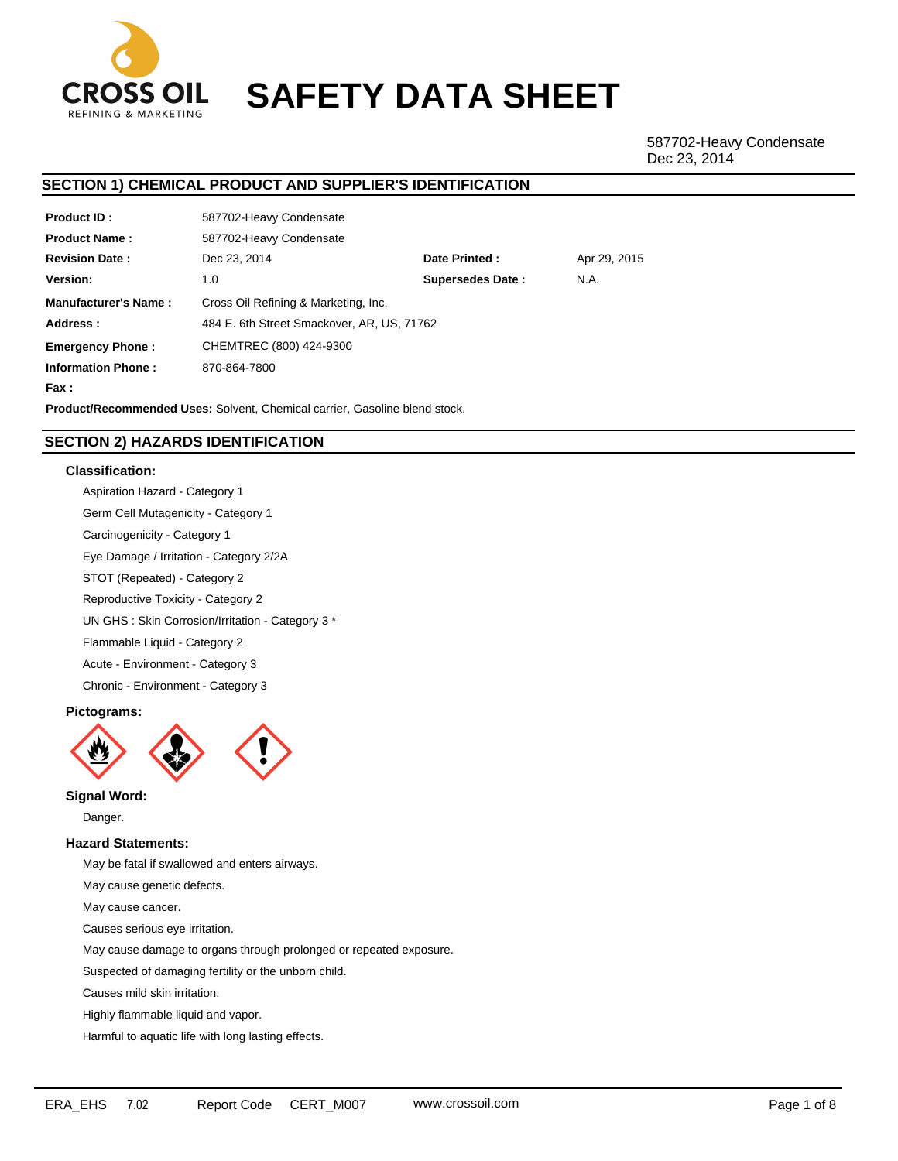

# **SAFETY DATA SHEET**

587702-Heavy Condensate Dec 23, 2014

# **SECTION 1) CHEMICAL PRODUCT AND SUPPLIER'S IDENTIFICATION**

| <b>Product ID:</b>          | 587702-Heavy Condensate                    |                         |              |  |  |  |
|-----------------------------|--------------------------------------------|-------------------------|--------------|--|--|--|
| <b>Product Name:</b>        | 587702-Heavy Condensate                    |                         |              |  |  |  |
| <b>Revision Date:</b>       | Dec 23, 2014                               | Date Printed:           | Apr 29, 2015 |  |  |  |
| <b>Version:</b>             | 1.0                                        | <b>Supersedes Date:</b> | N.A.         |  |  |  |
| <b>Manufacturer's Name:</b> | Cross Oil Refining & Marketing, Inc.       |                         |              |  |  |  |
| Address:                    | 484 E. 6th Street Smackover, AR, US, 71762 |                         |              |  |  |  |
| <b>Emergency Phone:</b>     | CHEMTREC (800) 424-9300                    |                         |              |  |  |  |
| <b>Information Phone:</b>   | 870-864-7800                               |                         |              |  |  |  |
| Fax :                       |                                            |                         |              |  |  |  |

**Product/Recommended Uses:** Solvent, Chemical carrier, Gasoline blend stock.

# **SECTION 2) HAZARDS IDENTIFICATION**

# **Classification:**

Aspiration Hazard - Category 1 Germ Cell Mutagenicity - Category 1 Carcinogenicity - Category 1 Eye Damage / Irritation - Category 2/2A STOT (Repeated) - Category 2 Reproductive Toxicity - Category 2 UN GHS : Skin Corrosion/Irritation - Category 3 \* Flammable Liquid - Category 2 Acute - Environment - Category 3 Chronic - Environment - Category 3

# **Pictograms:**



**Signal Word:**

Danger.

# **Hazard Statements:**

May be fatal if swallowed and enters airways.

May cause genetic defects.

May cause cancer.

Causes serious eye irritation.

May cause damage to organs through prolonged or repeated exposure.

Suspected of damaging fertility or the unborn child.

Causes mild skin irritation.

Highly flammable liquid and vapor.

Harmful to aquatic life with long lasting effects.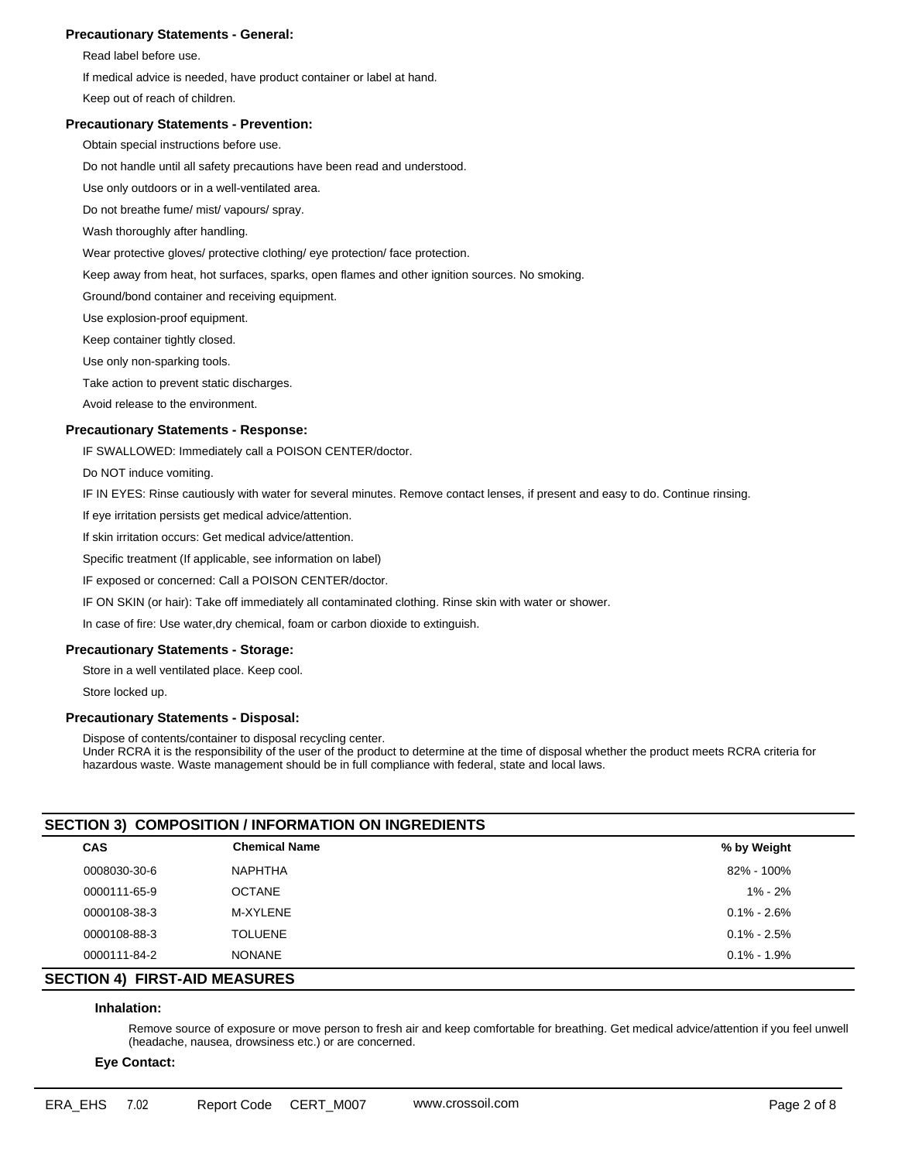## **Precautionary Statements - General:**

Read label before use.

If medical advice is needed, have product container or label at hand.

Keep out of reach of children.

### **Precautionary Statements - Prevention:**

Obtain special instructions before use.

Do not handle until all safety precautions have been read and understood.

Use only outdoors or in a well-ventilated area.

Do not breathe fume/ mist/ vapours/ spray.

Wash thoroughly after handling.

Wear protective gloves/ protective clothing/ eye protection/ face protection.

Keep away from heat, hot surfaces, sparks, open flames and other ignition sources. No smoking.

Ground/bond container and receiving equipment.

Use explosion-proof equipment.

Keep container tightly closed.

Use only non-sparking tools.

Take action to prevent static discharges.

Avoid release to the environment.

## **Precautionary Statements - Response:**

IF SWALLOWED: Immediately call a POISON CENTER/doctor.

Do NOT induce vomiting.

IF IN EYES: Rinse cautiously with water for several minutes. Remove contact lenses, if present and easy to do. Continue rinsing.

If eye irritation persists get medical advice/attention.

If skin irritation occurs: Get medical advice/attention.

Specific treatment (If applicable, see information on label)

IF exposed or concerned: Call a POISON CENTER/doctor.

IF ON SKIN (or hair): Take off immediately all contaminated clothing. Rinse skin with water or shower.

In case of fire: Use water,dry chemical, foam or carbon dioxide to extinguish.

## **Precautionary Statements - Storage:**

Store in a well ventilated place. Keep cool.

Store locked up.

## **Precautionary Statements - Disposal:**

Dispose of contents/container to disposal recycling center. Under RCRA it is the responsibility of the user of the product to determine at the time of disposal whether the product meets RCRA criteria for hazardous waste. Waste management should be in full compliance with federal, state and local laws.

## **SECTION 3) COMPOSITION / INFORMATION ON INGREDIENTS**

| <b>CAS</b>   | <b>Chemical Name</b> | % by Weight     |
|--------------|----------------------|-----------------|
| 0008030-30-6 | <b>NAPHTHA</b>       | 82% - 100%      |
| 0000111-65-9 | <b>OCTANE</b>        | $1\% - 2\%$     |
| 0000108-38-3 | M-XYLENE             | $0.1\% - 2.6\%$ |
| 0000108-88-3 | <b>TOLUENE</b>       | $0.1\% - 2.5\%$ |
| 0000111-84-2 | <b>NONANE</b>        | $0.1\% - 1.9\%$ |
|              |                      |                 |

# **SECTION 4) FIRST-AID MEASURES**

## **Inhalation:**

Remove source of exposure or move person to fresh air and keep comfortable for breathing. Get medical advice/attention if you feel unwell (headache, nausea, drowsiness etc.) or are concerned.

**Eye Contact:**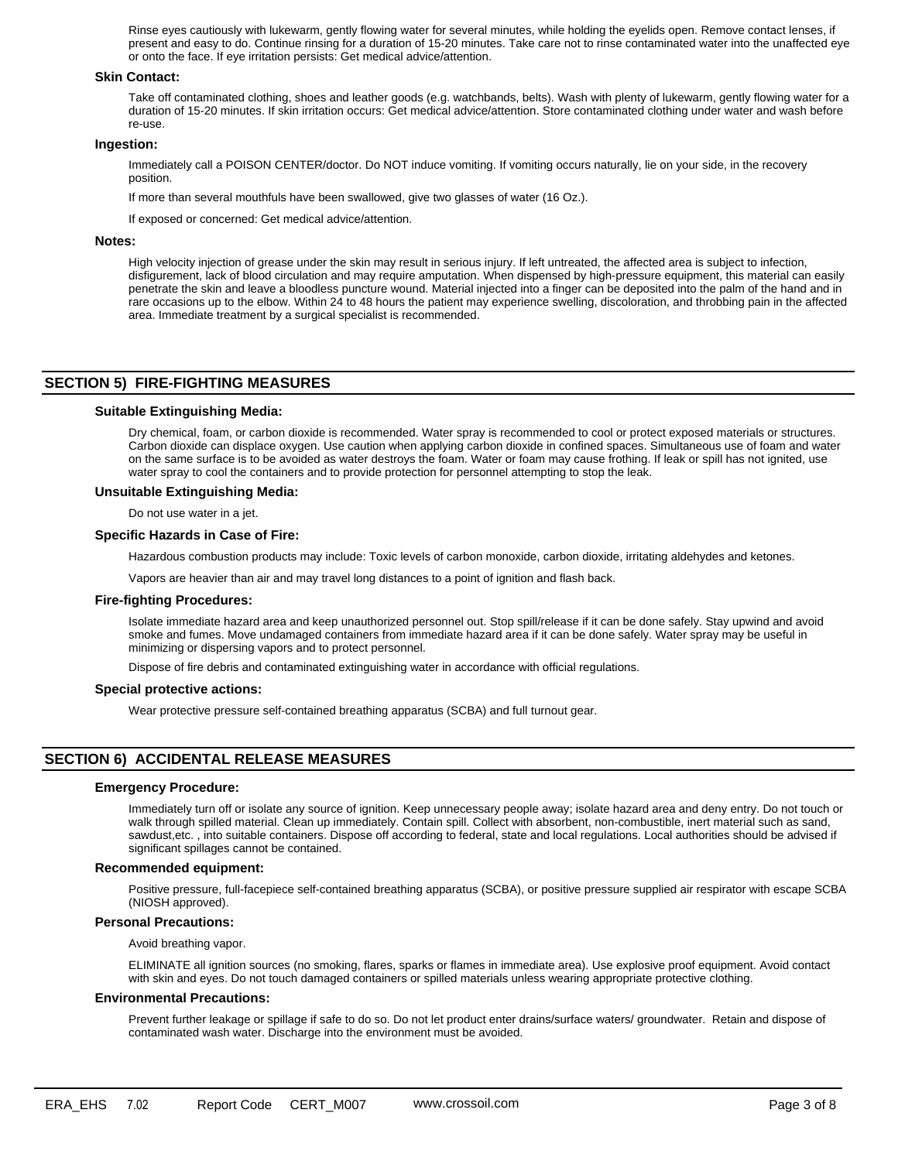Rinse eyes cautiously with lukewarm, gently flowing water for several minutes, while holding the eyelids open. Remove contact lenses, if present and easy to do. Continue rinsing for a duration of 15-20 minutes. Take care not to rinse contaminated water into the unaffected eye or onto the face. If eye irritation persists: Get medical advice/attention.

### **Skin Contact:**

Take off contaminated clothing, shoes and leather goods (e.g. watchbands, belts). Wash with plenty of lukewarm, gently flowing water for a duration of 15-20 minutes. If skin irritation occurs: Get medical advice/attention. Store contaminated clothing under water and wash before re-use.

## **Ingestion:**

Immediately call a POISON CENTER/doctor. Do NOT induce vomiting. If vomiting occurs naturally, lie on your side, in the recovery position.

If more than several mouthfuls have been swallowed, give two glasses of water (16 Oz.).

If exposed or concerned: Get medical advice/attention.

## **Notes:**

High velocity injection of grease under the skin may result in serious injury. If left untreated, the affected area is subject to infection, disfigurement, lack of blood circulation and may require amputation. When dispensed by high-pressure equipment, this material can easily penetrate the skin and leave a bloodless puncture wound. Material injected into a finger can be deposited into the palm of the hand and in rare occasions up to the elbow. Within 24 to 48 hours the patient may experience swelling, discoloration, and throbbing pain in the affected area. Immediate treatment by a surgical specialist is recommended.

# **SECTION 5) FIRE-FIGHTING MEASURES**

### **Suitable Extinguishing Media:**

Dry chemical, foam, or carbon dioxide is recommended. Water spray is recommended to cool or protect exposed materials or structures. Carbon dioxide can displace oxygen. Use caution when applying carbon dioxide in confined spaces. Simultaneous use of foam and water on the same surface is to be avoided as water destroys the foam. Water or foam may cause frothing. If leak or spill has not ignited, use water spray to cool the containers and to provide protection for personnel attempting to stop the leak.

## **Unsuitable Extinguishing Media:**

Do not use water in a jet.

#### **Specific Hazards in Case of Fire:**

Hazardous combustion products may include: Toxic levels of carbon monoxide, carbon dioxide, irritating aldehydes and ketones.

Vapors are heavier than air and may travel long distances to a point of ignition and flash back.

#### **Fire-fighting Procedures:**

Isolate immediate hazard area and keep unauthorized personnel out. Stop spill/release if it can be done safely. Stay upwind and avoid smoke and fumes. Move undamaged containers from immediate hazard area if it can be done safely. Water spray may be useful in minimizing or dispersing vapors and to protect personnel.

Dispose of fire debris and contaminated extinguishing water in accordance with official regulations.

#### **Special protective actions:**

Wear protective pressure self-contained breathing apparatus (SCBA) and full turnout gear.

# **SECTION 6) ACCIDENTAL RELEASE MEASURES**

## **Emergency Procedure:**

Immediately turn off or isolate any source of ignition. Keep unnecessary people away; isolate hazard area and deny entry. Do not touch or walk through spilled material. Clean up immediately. Contain spill. Collect with absorbent, non-combustible, inert material such as sand, sawdust,etc. , into suitable containers. Dispose off according to federal, state and local regulations. Local authorities should be advised if significant spillages cannot be contained.

#### **Recommended equipment:**

Positive pressure, full-facepiece self-contained breathing apparatus (SCBA), or positive pressure supplied air respirator with escape SCBA (NIOSH approved).

#### **Personal Precautions:**

Avoid breathing vapor.

ELIMINATE all ignition sources (no smoking, flares, sparks or flames in immediate area). Use explosive proof equipment. Avoid contact with skin and eyes. Do not touch damaged containers or spilled materials unless wearing appropriate protective clothing.

#### **Environmental Precautions:**

Prevent further leakage or spillage if safe to do so. Do not let product enter drains/surface waters/ groundwater. Retain and dispose of contaminated wash water. Discharge into the environment must be avoided.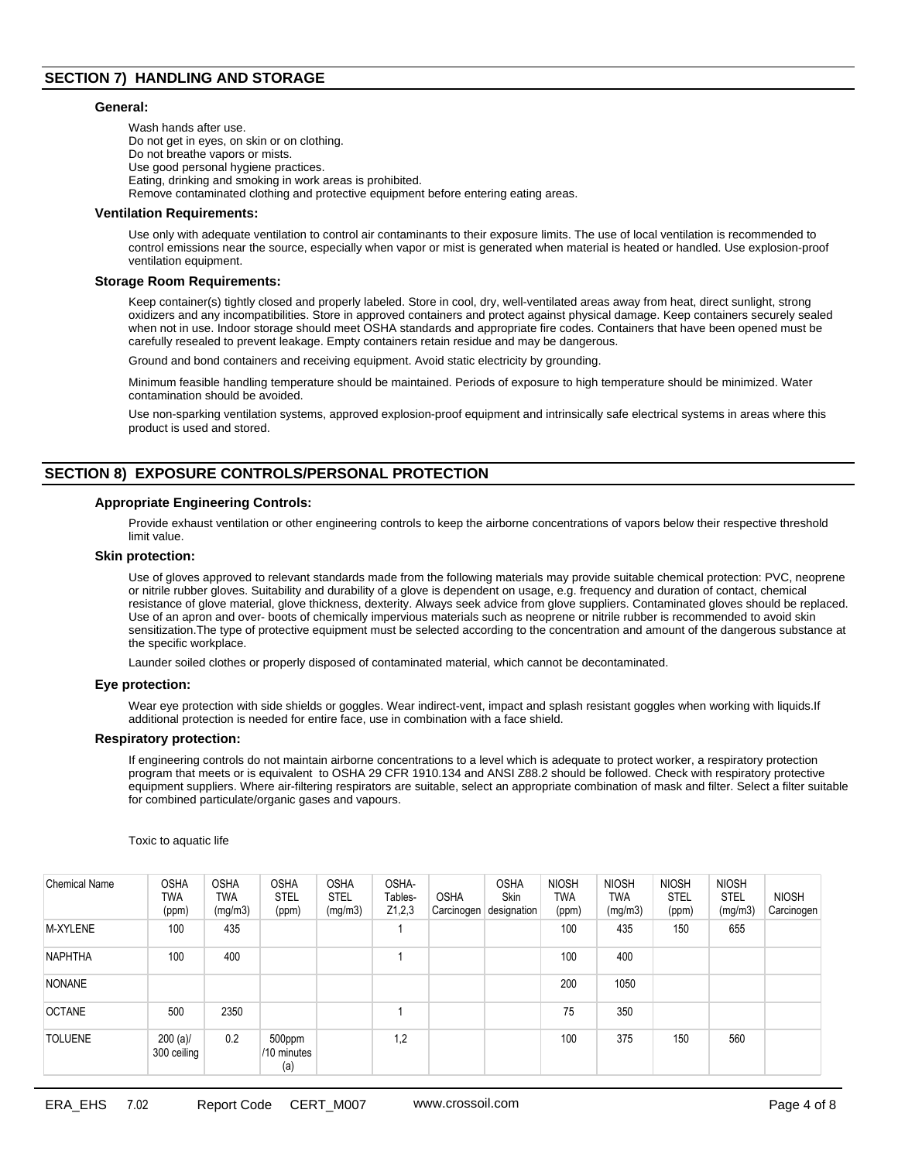# **SECTION 7) HANDLING AND STORAGE**

#### **General:**

Wash hands after use. Do not get in eyes, on skin or on clothing. Do not breathe vapors or mists. Use good personal hygiene practices. Eating, drinking and smoking in work areas is prohibited. Remove contaminated clothing and protective equipment before entering eating areas.

### **Ventilation Requirements:**

Use only with adequate ventilation to control air contaminants to their exposure limits. The use of local ventilation is recommended to control emissions near the source, especially when vapor or mist is generated when material is heated or handled. Use explosion-proof ventilation equipment.

### **Storage Room Requirements:**

Keep container(s) tightly closed and properly labeled. Store in cool, dry, well-ventilated areas away from heat, direct sunlight, strong oxidizers and any incompatibilities. Store in approved containers and protect against physical damage. Keep containers securely sealed when not in use. Indoor storage should meet OSHA standards and appropriate fire codes. Containers that have been opened must be carefully resealed to prevent leakage. Empty containers retain residue and may be dangerous.

Ground and bond containers and receiving equipment. Avoid static electricity by grounding.

Minimum feasible handling temperature should be maintained. Periods of exposure to high temperature should be minimized. Water contamination should be avoided.

Use non-sparking ventilation systems, approved explosion-proof equipment and intrinsically safe electrical systems in areas where this product is used and stored.

# **SECTION 8) EXPOSURE CONTROLS/PERSONAL PROTECTION**

### **Appropriate Engineering Controls:**

Provide exhaust ventilation or other engineering controls to keep the airborne concentrations of vapors below their respective threshold limit value.

#### **Skin protection:**

Use of gloves approved to relevant standards made from the following materials may provide suitable chemical protection: PVC, neoprene or nitrile rubber gloves. Suitability and durability of a glove is dependent on usage, e.g. frequency and duration of contact, chemical resistance of glove material, glove thickness, dexterity. Always seek advice from glove suppliers. Contaminated gloves should be replaced. Use of an apron and over- boots of chemically impervious materials such as neoprene or nitrile rubber is recommended to avoid skin sensitization.The type of protective equipment must be selected according to the concentration and amount of the dangerous substance at the specific workplace.

Launder soiled clothes or properly disposed of contaminated material, which cannot be decontaminated.

#### **Eye protection:**

Wear eye protection with side shields or goggles. Wear indirect-vent, impact and splash resistant goggles when working with liquids.If additional protection is needed for entire face, use in combination with a face shield.

#### **Respiratory protection:**

If engineering controls do not maintain airborne concentrations to a level which is adequate to protect worker, a respiratory protection program that meets or is equivalent to OSHA 29 CFR 1910.134 and ANSI Z88.2 should be followed. Check with respiratory protective equipment suppliers. Where air-filtering respirators are suitable, select an appropriate combination of mask and filter. Select a filter suitable for combined particulate/organic gases and vapours.

Toxic to aquatic life

| Chemical Name  | <b>OSHA</b><br>TWA<br>(ppm) | <b>OSHA</b><br>TWA<br>(mg/m3) | <b>OSHA</b><br><b>STEL</b><br>(ppm) | <b>OSHA</b><br><b>STEL</b><br>(mg/m3) | OSHA-<br>Tables-<br>Z1,2,3 | <b>OSHA</b><br>√Carcinogen | <b>OSHA</b><br><b>Skin</b><br>designation | <b>NIOSH</b><br><b>TWA</b><br>(ppm) | <b>NIOSH</b><br>TWA<br>(mg/m3) | <b>NIOSH</b><br><b>STEL</b><br>(ppm) | <b>NIOSH</b><br><b>STEL</b><br>(mg/m3) | <b>NIOSH</b><br>Carcinogen |
|----------------|-----------------------------|-------------------------------|-------------------------------------|---------------------------------------|----------------------------|----------------------------|-------------------------------------------|-------------------------------------|--------------------------------|--------------------------------------|----------------------------------------|----------------------------|
| M-XYLENE       | 100                         | 435                           |                                     |                                       |                            |                            |                                           | 100                                 | 435                            | 150                                  | 655                                    |                            |
| <b>NAPHTHA</b> | 100                         | 400                           |                                     |                                       |                            |                            |                                           | 100                                 | 400                            |                                      |                                        |                            |
| <b>NONANE</b>  |                             |                               |                                     |                                       |                            |                            |                                           | 200                                 | 1050                           |                                      |                                        |                            |
| <b>OCTANE</b>  | 500                         | 2350                          |                                     |                                       |                            |                            |                                           | 75                                  | 350                            |                                      |                                        |                            |
| <b>TOLUENE</b> | $200 (a)$ /<br>300 ceiling  | 0.2                           | 500ppm<br>/10 minutes<br>(a)        |                                       | 1,2                        |                            |                                           | 100                                 | 375                            | 150                                  | 560                                    |                            |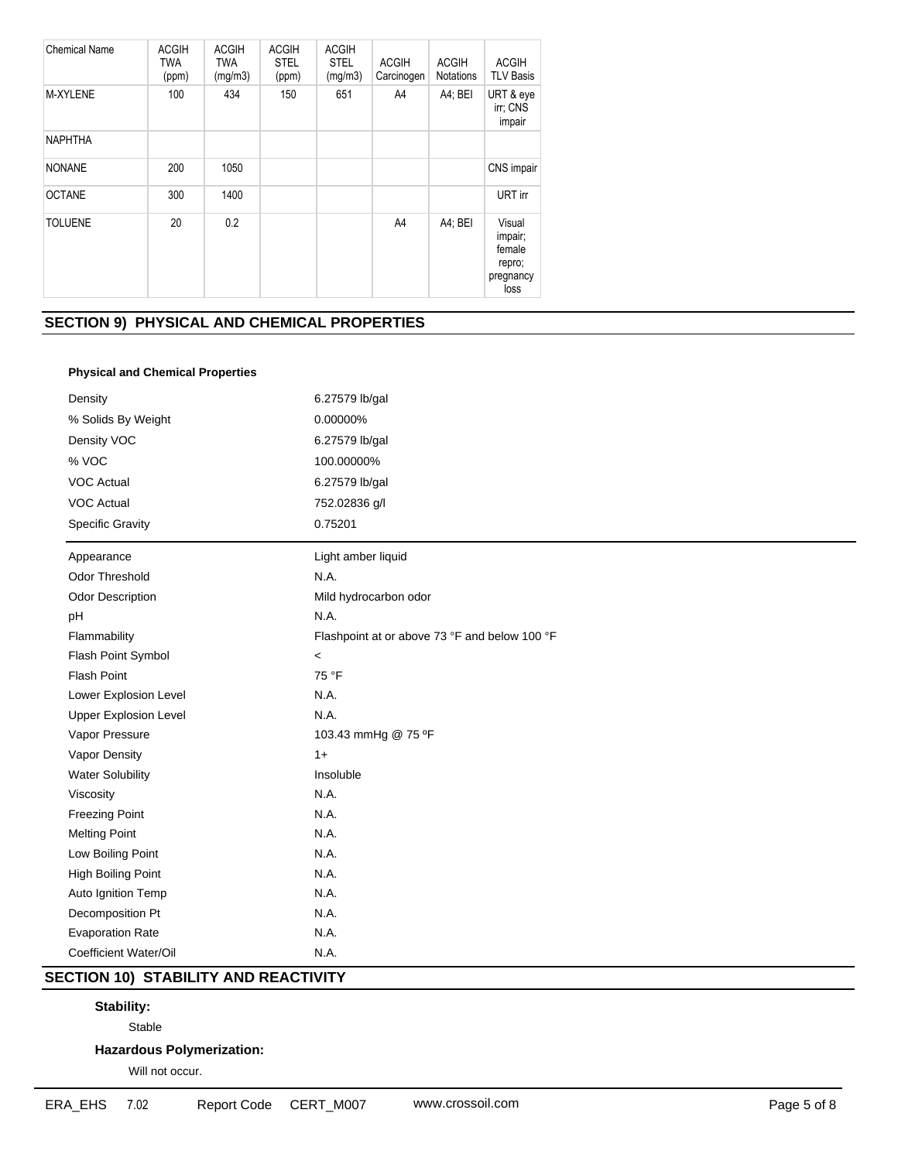| <b>Chemical Name</b> | <b>ACGIH</b><br><b>TWA</b><br>(ppm) | <b>ACGIH</b><br><b>TWA</b><br>(mg/m3) | <b>ACGIH</b><br><b>STEL</b><br>(ppm) | <b>ACGIH</b><br><b>STEL</b><br>(mg/m3) | <b>ACGIH</b><br>Carcinogen | <b>ACGIH</b><br><b>Notations</b> | <b>ACGIH</b><br><b>TLV Basis</b>                           |
|----------------------|-------------------------------------|---------------------------------------|--------------------------------------|----------------------------------------|----------------------------|----------------------------------|------------------------------------------------------------|
| M-XYLENE             | 100                                 | 434                                   | 150                                  | 651                                    | A4                         | A4; BEI                          | URT & eye<br>irr; CNS<br>impair                            |
| <b>NAPHTHA</b>       |                                     |                                       |                                      |                                        |                            |                                  |                                                            |
| <b>NONANE</b>        | 200                                 | 1050                                  |                                      |                                        |                            |                                  | CNS impair                                                 |
| <b>OCTANE</b>        | 300                                 | 1400                                  |                                      |                                        |                            |                                  | URT in                                                     |
| <b>TOLUENE</b>       | 20                                  | 0.2                                   |                                      |                                        | A4                         | A4; BEI                          | Visual<br>impair;<br>female<br>repro;<br>pregnancy<br>loss |

# **SECTION 9) PHYSICAL AND CHEMICAL PROPERTIES**

# **Physical and Chemical Properties**

| Density                      | 6.27579 lb/gal                                |  |  |  |
|------------------------------|-----------------------------------------------|--|--|--|
| % Solids By Weight           | 0.00000%                                      |  |  |  |
| Density VOC                  | 6.27579 lb/gal                                |  |  |  |
| % VOC                        | 100.00000%                                    |  |  |  |
| <b>VOC Actual</b>            | 6.27579 lb/gal                                |  |  |  |
| <b>VOC Actual</b>            | 752.02836 g/l                                 |  |  |  |
| <b>Specific Gravity</b>      | 0.75201                                       |  |  |  |
| Appearance                   | Light amber liquid                            |  |  |  |
| Odor Threshold               | N.A.                                          |  |  |  |
| <b>Odor Description</b>      | Mild hydrocarbon odor                         |  |  |  |
| pH                           | N.A.                                          |  |  |  |
| Flammability                 | Flashpoint at or above 73 °F and below 100 °F |  |  |  |
| Flash Point Symbol           | $\,<\,$                                       |  |  |  |
| Flash Point                  | 75 °F                                         |  |  |  |
| Lower Explosion Level        | N.A.                                          |  |  |  |
| <b>Upper Explosion Level</b> | N.A.                                          |  |  |  |
| Vapor Pressure               | 103.43 mmHg @ 75 °F                           |  |  |  |
| Vapor Density                | $1+$                                          |  |  |  |
| <b>Water Solubility</b>      | Insoluble                                     |  |  |  |
| Viscosity                    | N.A.                                          |  |  |  |
| <b>Freezing Point</b>        | N.A.                                          |  |  |  |
| <b>Melting Point</b>         | N.A.                                          |  |  |  |
| Low Boiling Point            | N.A.                                          |  |  |  |
| High Boiling Point           | N.A.                                          |  |  |  |
| Auto Ignition Temp           | N.A.                                          |  |  |  |
| Decomposition Pt             | N.A.                                          |  |  |  |
| <b>Evaporation Rate</b>      | N.A.                                          |  |  |  |
| Coefficient Water/Oil        | N.A.                                          |  |  |  |

# **SECTION 10) STABILITY AND REACTIVITY**

# **Stability:**

Stable

# **Hazardous Polymerization:**

Will not occur.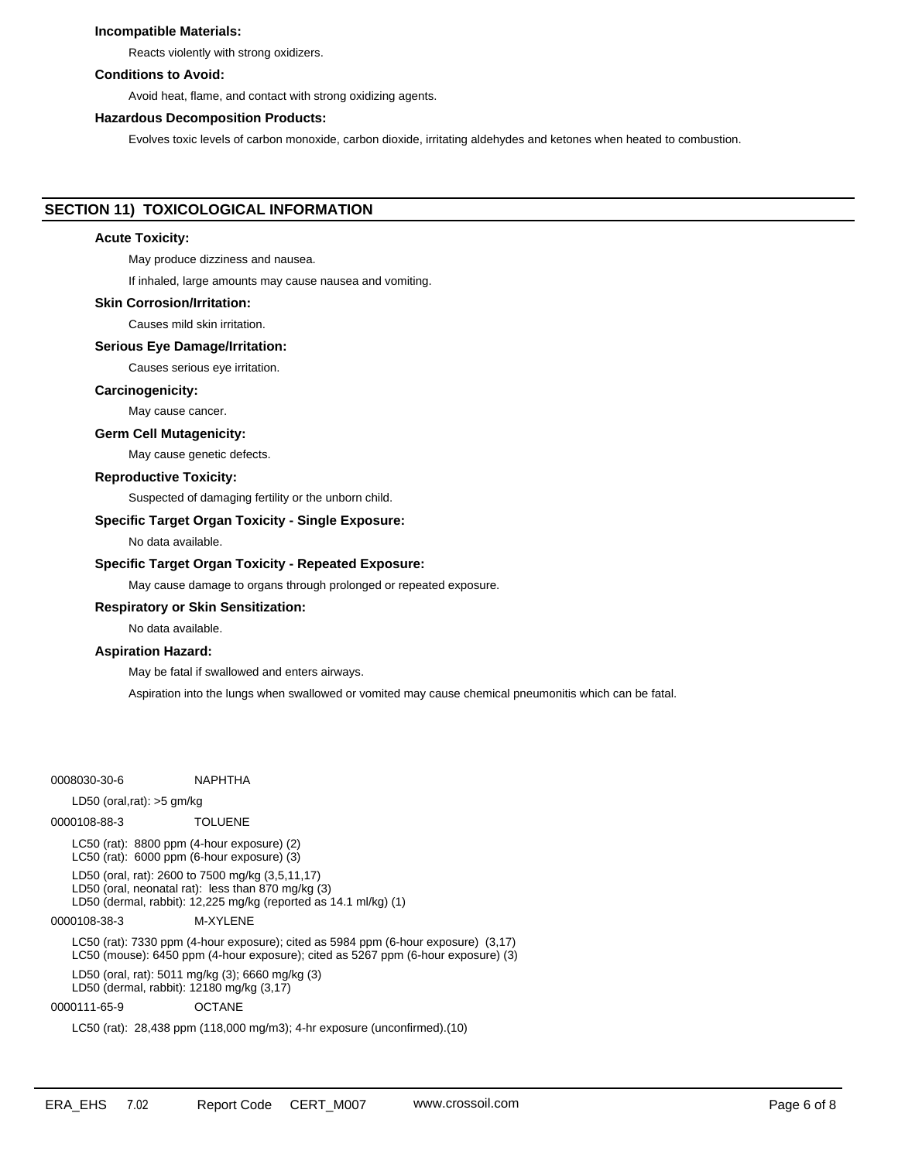## **Incompatible Materials:**

Reacts violently with strong oxidizers.

## **Conditions to Avoid:**

Avoid heat, flame, and contact with strong oxidizing agents.

#### **Hazardous Decomposition Products:**

Evolves toxic levels of carbon monoxide, carbon dioxide, irritating aldehydes and ketones when heated to combustion.

# **SECTION 11) TOXICOLOGICAL INFORMATION**

## **Acute Toxicity:**

May produce dizziness and nausea.

If inhaled, large amounts may cause nausea and vomiting.

## **Skin Corrosion/Irritation:**

Causes mild skin irritation.

#### **Serious Eye Damage/Irritation:**

Causes serious eye irritation.

#### **Carcinogenicity:**

May cause cancer.

#### **Germ Cell Mutagenicity:**

May cause genetic defects.

## **Reproductive Toxicity:**

Suspected of damaging fertility or the unborn child.

#### **Specific Target Organ Toxicity - Single Exposure:**

No data available.

#### **Specific Target Organ Toxicity - Repeated Exposure:**

May cause damage to organs through prolonged or repeated exposure.

### **Respiratory or Skin Sensitization:**

No data available.

## **Aspiration Hazard:**

May be fatal if swallowed and enters airways.

Aspiration into the lungs when swallowed or vomited may cause chemical pneumonitis which can be fatal.

0008030-30-6 NAPHTHA

#### LD50 (oral,rat): >5 gm/kg

0000108-88-3 TOLUENE LC50 (rat): 8800 ppm (4-hour exposure) (2) LC50 (rat): 6000 ppm (6-hour exposure) (3) LD50 (oral, rat): 2600 to 7500 mg/kg (3,5,11,17) LD50 (oral, neonatal rat): less than 870 mg/kg (3) LD50 (dermal, rabbit): 12,225 mg/kg (reported as 14.1 ml/kg) (1) 0000108-38-3 M-XYLENE LC50 (rat): 7330 ppm (4-hour exposure); cited as 5984 ppm (6-hour exposure) (3,17) LC50 (mouse): 6450 ppm (4-hour exposure); cited as 5267 ppm (6-hour exposure) (3)

LD50 (oral, rat): 5011 mg/kg (3); 6660 mg/kg (3) LD50 (dermal, rabbit): 12180 mg/kg (3,17)

0000111-65-9 OCTANE

LC50 (rat): 28,438 ppm (118,000 mg/m3); 4-hr exposure (unconfirmed).(10)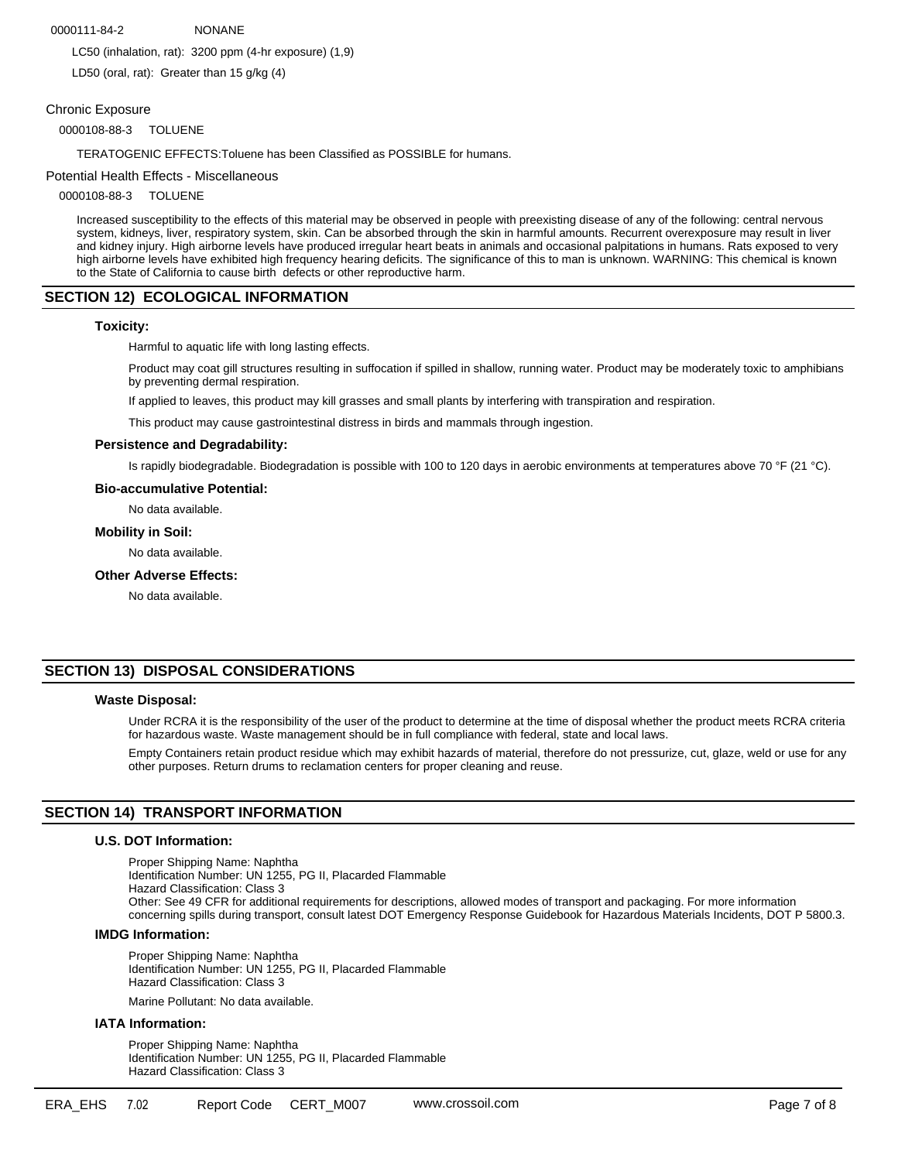## 0000111-84-2 NONANE

LC50 (inhalation, rat): 3200 ppm (4-hr exposure) (1,9)

LD50 (oral, rat): Greater than 15 g/kg (4)

## Chronic Exposure

0000108-88-3 TOLUENE

TERATOGENIC EFFECTS:Toluene has been Classified as POSSIBLE for humans.

#### Potential Health Effects - Miscellaneous

0000108-88-3 TOLUENE

Increased susceptibility to the effects of this material may be observed in people with preexisting disease of any of the following: central nervous system, kidneys, liver, respiratory system, skin. Can be absorbed through the skin in harmful amounts. Recurrent overexposure may result in liver and kidney injury. High airborne levels have produced irregular heart beats in animals and occasional palpitations in humans. Rats exposed to very high airborne levels have exhibited high frequency hearing deficits. The significance of this to man is unknown. WARNING: This chemical is known to the State of California to cause birth defects or other reproductive harm.

# **SECTION 12) ECOLOGICAL INFORMATION**

### **Toxicity:**

Harmful to aquatic life with long lasting effects.

Product may coat gill structures resulting in suffocation if spilled in shallow, running water. Product may be moderately toxic to amphibians by preventing dermal respiration.

If applied to leaves, this product may kill grasses and small plants by interfering with transpiration and respiration.

This product may cause gastrointestinal distress in birds and mammals through ingestion.

### **Persistence and Degradability:**

Is rapidly biodegradable. Biodegradation is possible with 100 to 120 days in aerobic environments at temperatures above 70 °F (21 °C).

#### **Bio-accumulative Potential:**

No data available.

## **Mobility in Soil:**

No data available.

### **Other Adverse Effects:**

No data available.

# **SECTION 13) DISPOSAL CONSIDERATIONS**

#### **Waste Disposal:**

Under RCRA it is the responsibility of the user of the product to determine at the time of disposal whether the product meets RCRA criteria for hazardous waste. Waste management should be in full compliance with federal, state and local laws.

Empty Containers retain product residue which may exhibit hazards of material, therefore do not pressurize, cut, glaze, weld or use for any other purposes. Return drums to reclamation centers for proper cleaning and reuse.

## **SECTION 14) TRANSPORT INFORMATION**

# **U.S. DOT Information:**

Proper Shipping Name: Naphtha Identification Number: UN 1255, PG II, Placarded Flammable Hazard Classification: Class 3 Other: See 49 CFR for additional requirements for descriptions, allowed modes of transport and packaging. For more information concerning spills during transport, consult latest DOT Emergency Response Guidebook for Hazardous Materials Incidents, DOT P 5800.3.

## **IMDG Information:**

Proper Shipping Name: Naphtha Identification Number: UN 1255, PG II, Placarded Flammable Hazard Classification: Class 3

Marine Pollutant: No data available.

# **IATA Information:**

Proper Shipping Name: Naphtha Identification Number: UN 1255, PG II, Placarded Flammable Hazard Classification: Class 3